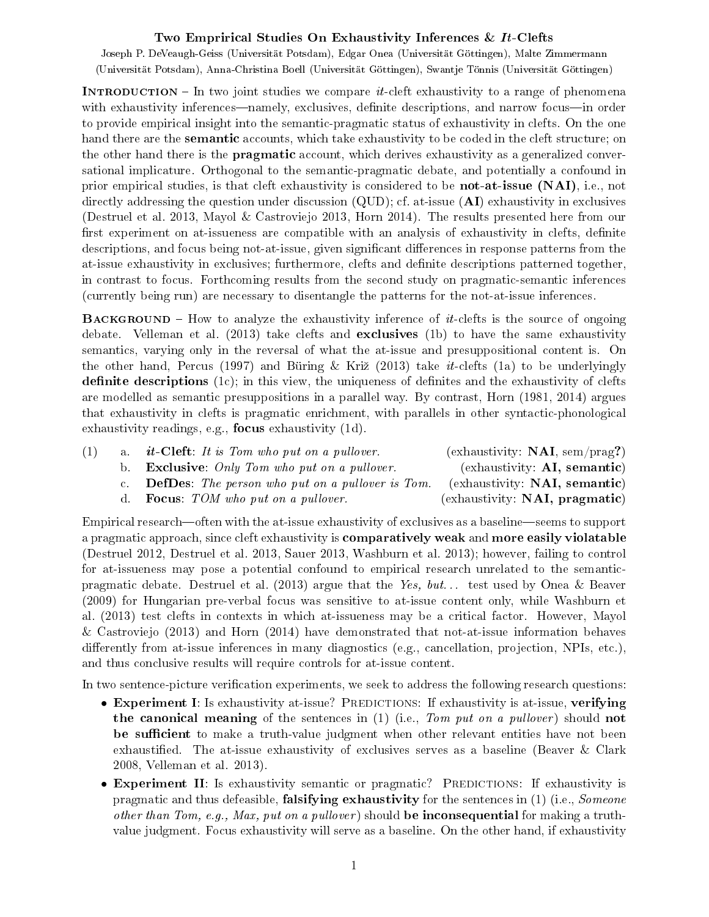## Two Emprirical Studies On Exhaustivity Inferences & It-Clefts

Joseph P. DeVeaugh-Geiss (Universität Potsdam), Edgar Onea (Universität Göttingen), Malte Zimmermann (Universität Potsdam), Anna-Christina Boell (Universität Göttingen), Swantje Tönnis (Universität Göttingen)

**INTRODUCTION** – In two joint studies we compare *it*-cleft exhaustivity to a range of phenomena with exhaustivity inferences—namely, exclusives, definite descriptions, and narrow focus—in order to provide empirical insight into the semantic-pragmatic status of exhaustivity in clefts. On the one hand there are the semantic accounts, which take exhaustivity to be coded in the cleft structure; on the other hand there is the pragmatic account, which derives exhaustivity as a generalized conversational implicature. Orthogonal to the semantic-pragmatic debate, and potentially a confound in prior empirical studies, is that cleft exhaustivity is considered to be not-at-issue (NAI), i.e., not directly addressing the question under discussion  $(QUD)$ ; cf. at-issue  $(AI)$  exhaustivity in exclusives (Destruel et al. 2013, Mayol & Castroviejo 2013, Horn 2014). The results presented here from our first experiment on at-issueness are compatible with an analysis of exhaustivity in clefts, definite descriptions, and focus being not-at-issue, given significant differences in response patterns from the at-issue exhaustivity in exclusives; furthermore, clefts and denite descriptions patterned together, in contrast to focus. Forthcoming results from the second study on pragmatic-semantic inferences (currently being run) are necessary to disentangle the patterns for the not-at-issue inferences.

**BACKGROUND** – How to analyze the exhaustivity inference of  $it$ -clefts is the source of ongoing debate. Velleman et al. (2013) take clefts and exclusives (1b) to have the same exhaustivity semantics, varying only in the reversal of what the at-issue and presuppositional content is. On the other hand, Percus (1997) and Büring & Križ (2013) take *it*-clefts (1a) to be underlyingly definite descriptions  $(1c)$ ; in this view, the uniqueness of definites and the exhaustivity of clefts are modelled as semantic presuppositions in a parallel way. By contrast, Horn (1981, 2014) argues that exhaustivity in clefts is pragmatic enrichment, with parallels in other syntactic-phonological exhaustivity readings, e.g., focus exhaustivity (1d).

|             | a. <i>it</i> -Cleft: It is Tom who put on a pullover.    | (exhaustivity: $NAI$ , sem/prag?)    |
|-------------|----------------------------------------------------------|--------------------------------------|
| b.          | <b>Exclusive</b> : Only Tom who put on a pullover.       | $\left($ exhaustivity: AI, semantic) |
| $c_{\perp}$ | <b>DefDes</b> : The person who put on a pullover is Tom. | (exhaustivity: NAI, semantic)        |
|             | d. <b>Focus</b> : $TOM$ who put on a pullover.           | (exhaustivity: NAI, pragmatic)       |

Empirical research—often with the at-issue exhaustivity of exclusives as a baseline—seems to support a pragmatic approach, since cleft exhaustivity is comparatively weak and more easily violatable (Destruel 2012, Destruel et al. 2013, Sauer 2013, Washburn et al. 2013); however, failing to control for at-issueness may pose a potential confound to empirical research unrelated to the semanticpragmatic debate. Destruel et al. (2013) argue that the Yes, but. . . test used by Onea & Beaver (2009) for Hungarian pre-verbal focus was sensitive to at-issue content only, while Washburn et al. (2013) test clefts in contexts in which at-issueness may be a critical factor. However, Mayol & Castroviejo (2013) and Horn (2014) have demonstrated that not-at-issue information behaves differently from at-issue inferences in many diagnostics (e.g., cancellation, projection, NPIs, etc.), and thus conclusive results will require controls for at-issue content.

In two sentence-picture verification experiments, we seek to address the following research questions:

- Experiment I: Is exhaustivity at-issue? PREDICTIONS: If exhaustivity is at-issue, verifying the canonical meaning of the sentences in  $(1)$  (i.e., Tom put on a pullover) should not be sufficient to make a truth-value judgment when other relevant entities have not been exhaustified. The at-issue exhaustivity of exclusives serves as a baseline (Beaver  $\&$  Clark 2008, Velleman et al. 2013).
- Experiment II: Is exhaustivity semantic or pragmatic? PREDICTIONS: If exhaustivity is pragmatic and thus defeasible, **falsifying exhaustivity** for the sentences in  $(1)$  (i.e., *Someone* other than Tom, e.g., Max, put on a pullover) should be inconsequential for making a truthvalue judgment. Focus exhaustivity will serve as a baseline. On the other hand, if exhaustivity